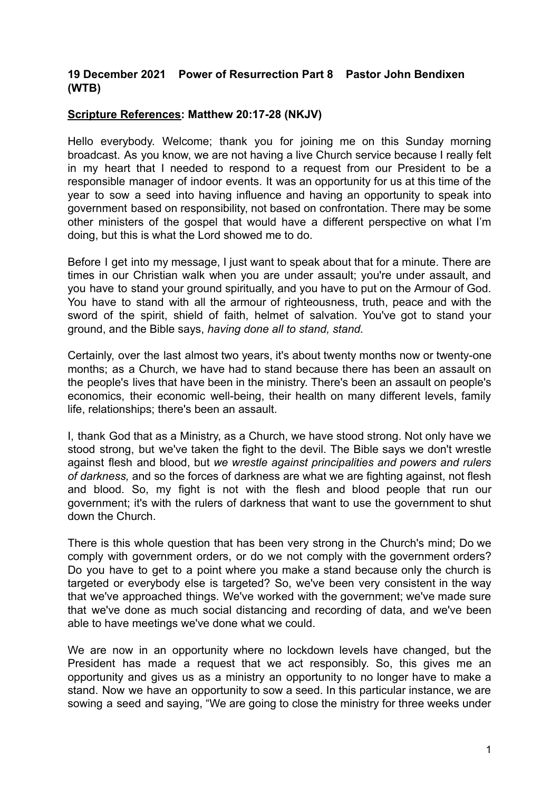## **19 December 2021 Power of Resurrection Part 8 Pastor John Bendixen (WTB)**

## **Scripture References: Matthew 20:17-28 (NKJV)**

Hello everybody. Welcome; thank you for joining me on this Sunday morning broadcast. As you know, we are not having a live Church service because I really felt in my heart that I needed to respond to a request from our President to be a responsible manager of indoor events. It was an opportunity for us at this time of the year to sow a seed into having influence and having an opportunity to speak into government based on responsibility, not based on confrontation. There may be some other ministers of the gospel that would have a different perspective on what I'm doing, but this is what the Lord showed me to do.

Before I get into my message, I just want to speak about that for a minute. There are times in our Christian walk when you are under assault; you're under assault, and you have to stand your ground spiritually, and you have to put on the Armour of God. You have to stand with all the armour of righteousness, truth, peace and with the sword of the spirit, shield of faith, helmet of salvation. You've got to stand your ground, and the Bible says, *having done all to stand, stand.*

Certainly, over the last almost two years, it's about twenty months now or twenty-one months; as a Church, we have had to stand because there has been an assault on the people's lives that have been in the ministry. There's been an assault on people's economics, their economic well-being, their health on many different levels, family life, relationships; there's been an assault.

I, thank God that as a Ministry, as a Church, we have stood strong. Not only have we stood strong, but we've taken the fight to the devil. The Bible says we don't wrestle against flesh and blood, but *we wrestle against principalities and powers and rulers of darkness,* and so the forces of darkness are what we are fighting against, not flesh and blood. So, my fight is not with the flesh and blood people that run our government; it's with the rulers of darkness that want to use the government to shut down the Church.

There is this whole question that has been very strong in the Church's mind; Do we comply with government orders, or do we not comply with the government orders? Do you have to get to a point where you make a stand because only the church is targeted or everybody else is targeted? So, we've been very consistent in the way that we've approached things. We've worked with the government; we've made sure that we've done as much social distancing and recording of data, and we've been able to have meetings we've done what we could.

We are now in an opportunity where no lockdown levels have changed, but the President has made a request that we act responsibly. So, this gives me an opportunity and gives us as a ministry an opportunity to no longer have to make a stand. Now we have an opportunity to sow a seed. In this particular instance, we are sowing a seed and saying, "We are going to close the ministry for three weeks under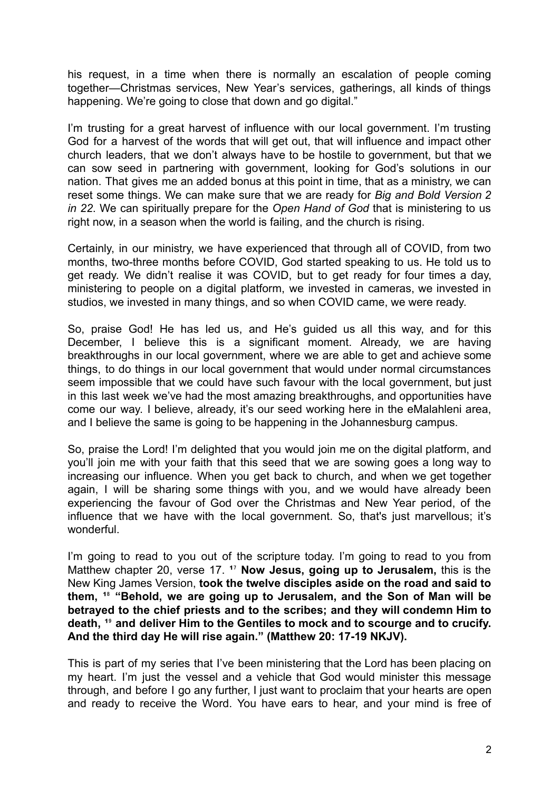his request, in a time when there is normally an escalation of people coming together—Christmas services, New Year's services, gatherings, all kinds of things happening. We're going to close that down and go digital."

I'm trusting for a great harvest of influence with our local government. I'm trusting God for a harvest of the words that will get out, that will influence and impact other church leaders, that we don't always have to be hostile to government, but that we can sow seed in partnering with government, looking for God's solutions in our nation. That gives me an added bonus at this point in time, that as a ministry, we can reset some things. We can make sure that we are ready for *Big and Bold Version 2 in 22*. We can spiritually prepare for the *Open Hand of God* that is ministering to us right now, in a season when the world is failing, and the church is rising.

Certainly, in our ministry, we have experienced that through all of COVID, from two months, two-three months before COVID, God started speaking to us. He told us to get ready. We didn't realise it was COVID, but to get ready for four times a day, ministering to people on a digital platform, we invested in cameras, we invested in studios, we invested in many things, and so when COVID came, we were ready.

So, praise God! He has led us, and He's guided us all this way, and for this December, I believe this is a significant moment. Already, we are having breakthroughs in our local government, where we are able to get and achieve some things, to do things in our local government that would under normal circumstances seem impossible that we could have such favour with the local government, but just in this last week we've had the most amazing breakthroughs, and opportunities have come our way. I believe, already, it's our seed working here in the eMalahleni area, and I believe the same is going to be happening in the Johannesburg campus.

So, praise the Lord! I'm delighted that you would join me on the digital platform, and you'll join me with your faith that this seed that we are sowing goes a long way to increasing our influence. When you get back to church, and when we get together again, I will be sharing some things with you, and we would have already been experiencing the favour of God over the Christmas and New Year period, of the influence that we have with the local government. So, that's just marvellous; it's wonderful.

I'm going to read to you out of the scripture today. I'm going to read to you from Matthew chapter 20, verse 17. <sup>17</sup> Now Jesus, going up to Jerusalem, this is the New King James Version, **took the twelve disciples aside on the road and said to them, ¹**⁸ **"Behold, we are going up to Jerusalem, and the Son of Man will be betrayed to the chief priests and to the scribes; and they will condemn Him to death, ¹**⁹ **and deliver Him to the Gentiles to mock and to scourge and to crucify. And the third day He will rise again." (Matthew 20: 17-19 NKJV).**

This is part of my series that I've been ministering that the Lord has been placing on my heart. I'm just the vessel and a vehicle that God would minister this message through, and before I go any further, I just want to proclaim that your hearts are open and ready to receive the Word. You have ears to hear, and your mind is free of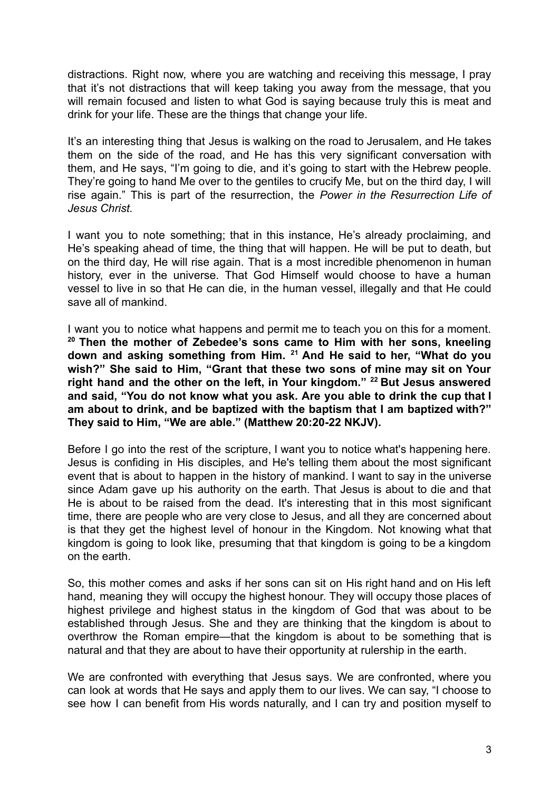distractions. Right now, where you are watching and receiving this message, I pray that it's not distractions that will keep taking you away from the message, that you will remain focused and listen to what God is saying because truly this is meat and drink for your life. These are the things that change your life.

It's an interesting thing that Jesus is walking on the road to Jerusalem, and He takes them on the side of the road, and He has this very significant conversation with them, and He says, "I'm going to die, and it's going to start with the Hebrew people. They're going to hand Me over to the gentiles to crucify Me, but on the third day, I will rise again." This is part of the resurrection, the *Power in the Resurrection Life of Jesus Christ.*

I want you to note something; that in this instance, He's already proclaiming, and He's speaking ahead of time, the thing that will happen. He will be put to death, but on the third day, He will rise again. That is a most incredible phenomenon in human history, ever in the universe. That God Himself would choose to have a human vessel to live in so that He can die, in the human vessel, illegally and that He could save all of mankind.

I want you to notice what happens and permit me to teach you on this for a moment. **<sup>20</sup> Then the mother of Zebedee's sons came to Him with her sons, kneeling down and asking something from Him. <sup>21</sup> And He said to her, "What do you wish?" She said to Him, "Grant that these two sons of mine may sit on Your right hand and the other on the left, in Your kingdom." <sup>22</sup> But Jesus answered and said, "You do not know what you ask. Are you able to drink the cup that I am about to drink, and be baptized with the baptism that I am baptized with?" They said to Him, "We are able." (Matthew 20:20-22 NKJV).**

Before I go into the rest of the scripture, I want you to notice what's happening here. Jesus is confiding in His disciples, and He's telling them about the most significant event that is about to happen in the history of mankind. I want to say in the universe since Adam gave up his authority on the earth. That Jesus is about to die and that He is about to be raised from the dead. It's interesting that in this most significant time, there are people who are very close to Jesus, and all they are concerned about is that they get the highest level of honour in the Kingdom. Not knowing what that kingdom is going to look like, presuming that that kingdom is going to be a kingdom on the earth.

So, this mother comes and asks if her sons can sit on His right hand and on His left hand, meaning they will occupy the highest honour. They will occupy those places of highest privilege and highest status in the kingdom of God that was about to be established through Jesus. She and they are thinking that the kingdom is about to overthrow the Roman empire—that the kingdom is about to be something that is natural and that they are about to have their opportunity at rulership in the earth.

We are confronted with everything that Jesus says. We are confronted, where you can look at words that He says and apply them to our lives. We can say, "I choose to see how I can benefit from His words naturally, and I can try and position myself to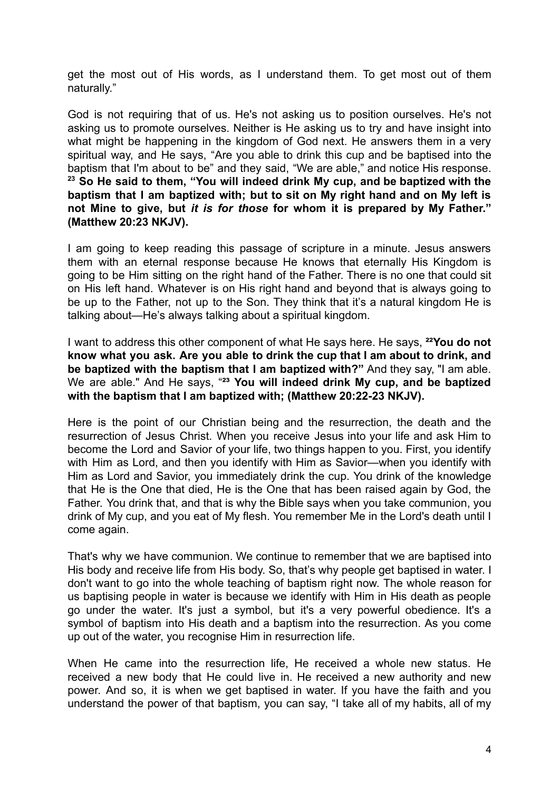get the most out of His words, as I understand them. To get most out of them naturally."

God is not requiring that of us. He's not asking us to position ourselves. He's not asking us to promote ourselves. Neither is He asking us to try and have insight into what might be happening in the kingdom of God next. He answers them in a very spiritual way, and He says, "Are you able to drink this cup and be baptised into the baptism that I'm about to be" and they said, "We are able," and notice His response. **<sup>23</sup> So He said to them, "You will indeed drink My cup, and be baptized with the baptism that I am baptized with; but to sit on My right hand and on My left is not Mine to give, but** *it is for those* **for whom it is prepared by My Father." (Matthew 20:23 NKJV).**

I am going to keep reading this passage of scripture in a minute. Jesus answers them with an eternal response because He knows that eternally His Kingdom is going to be Him sitting on the right hand of the Father. There is no one that could sit on His left hand. Whatever is on His right hand and beyond that is always going to be up to the Father, not up to the Son. They think that it's a natural kingdom He is talking about—He's always talking about a spiritual kingdom.

I want to address this other component of what He says here. He says, **²²You do not know what you ask. Are you able to drink the cup that I am about to drink, and be baptized with the baptism that I am baptized with?"** And they say, "I am able. We are able." And He says, "**²³ You will indeed drink My cup, and be baptized with the baptism that I am baptized with; (Matthew 20:22-23 NKJV).**

Here is the point of our Christian being and the resurrection, the death and the resurrection of Jesus Christ. When you receive Jesus into your life and ask Him to become the Lord and Savior of your life, two things happen to you. First, you identify with Him as Lord, and then you identify with Him as Savior—when you identify with Him as Lord and Savior, you immediately drink the cup. You drink of the knowledge that He is the One that died, He is the One that has been raised again by God, the Father. You drink that, and that is why the Bible says when you take communion, you drink of My cup, and you eat of My flesh. You remember Me in the Lord's death until I come again.

That's why we have communion. We continue to remember that we are baptised into His body and receive life from His body. So, that's why people get baptised in water. I don't want to go into the whole teaching of baptism right now. The whole reason for us baptising people in water is because we identify with Him in His death as people go under the water. It's just a symbol, but it's a very powerful obedience. It's a symbol of baptism into His death and a baptism into the resurrection. As you come up out of the water, you recognise Him in resurrection life.

When He came into the resurrection life, He received a whole new status. He received a new body that He could live in. He received a new authority and new power. And so, it is when we get baptised in water. If you have the faith and you understand the power of that baptism, you can say, "I take all of my habits, all of my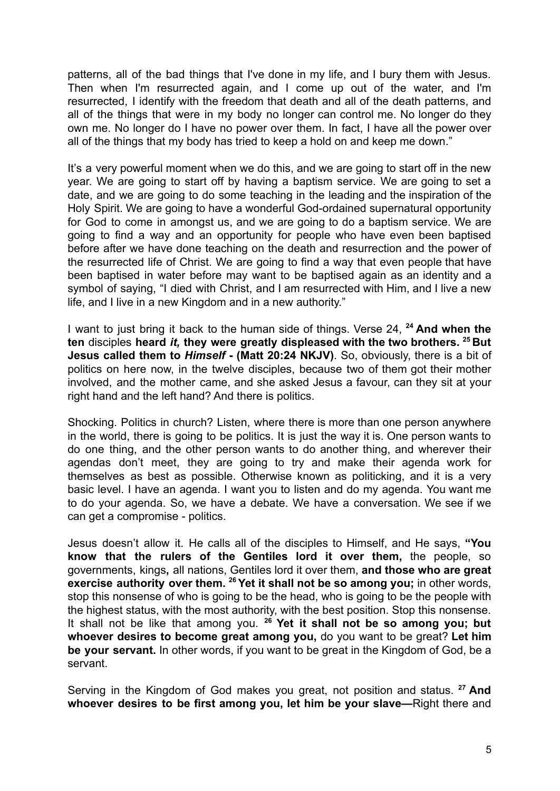patterns, all of the bad things that I've done in my life, and I bury them with Jesus. Then when I'm resurrected again, and I come up out of the water, and I'm resurrected, I identify with the freedom that death and all of the death patterns, and all of the things that were in my body no longer can control me. No longer do they own me. No longer do I have no power over them. In fact, I have all the power over all of the things that my body has tried to keep a hold on and keep me down."

It's a very powerful moment when we do this, and we are going to start off in the new year. We are going to start off by having a baptism service. We are going to set a date, and we are going to do some teaching in the leading and the inspiration of the Holy Spirit. We are going to have a wonderful God-ordained supernatural opportunity for God to come in amongst us, and we are going to do a baptism service. We are going to find a way and an opportunity for people who have even been baptised before after we have done teaching on the death and resurrection and the power of the resurrected life of Christ. We are going to find a way that even people that have been baptised in water before may want to be baptised again as an identity and a symbol of saying, "I died with Christ, and I am resurrected with Him, and I live a new life, and I live in a new Kingdom and in a new authority."

I want to just bring it back to the human side of things. Verse 24, **<sup>24</sup> And when the ten** disciples **heard** *it,* **they were greatly displeased with the two brothers. <sup>25</sup> But Jesus called them to** *Himself* **- (Matt 20:24 NKJV)**. So, obviously, there is a bit of politics on here now, in the twelve disciples, because two of them got their mother involved, and the mother came, and she asked Jesus a favour, can they sit at your right hand and the left hand? And there is politics.

Shocking. Politics in church? Listen, where there is more than one person anywhere in the world, there is going to be politics. It is just the way it is. One person wants to do one thing, and the other person wants to do another thing, and wherever their agendas don't meet, they are going to try and make their agenda work for themselves as best as possible. Otherwise known as politicking, and it is a very basic level. I have an agenda. I want you to listen and do my agenda. You want me to do your agenda. So, we have a debate. We have a conversation. We see if we can get a compromise - politics.

Jesus doesn't allow it. He calls all of the disciples to Himself, and He says, **"You know that the rulers of the Gentiles lord it over them,** the people, so governments, kings**,** all nations, Gentiles lord it over them, **and those who are great exercise authority over them. <sup>26</sup>Yet it shall not be so among you;** in other words, stop this nonsense of who is going to be the head, who is going to be the people with the highest status, with the most authority, with the best position. Stop this nonsense. It shall not be like that among you. **<sup>26</sup> Yet it shall not be so among you; but whoever desires to become great among you,** do you want to be great? **Let him be your servant.** In other words, if you want to be great in the Kingdom of God, be a servant.

Serving in the Kingdom of God makes you great, not position and status. **<sup>27</sup> And whoever desires to be first among you, let him be your slave—**Right there and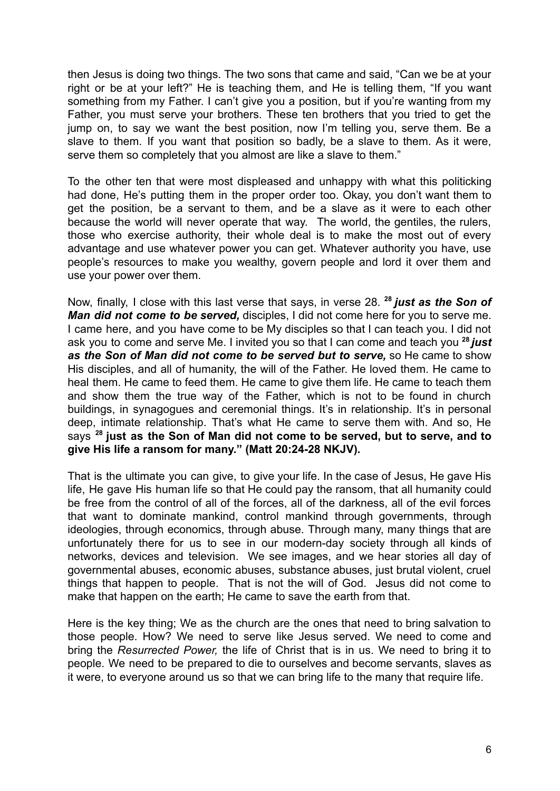then Jesus is doing two things. The two sons that came and said, "Can we be at your right or be at your left?" He is teaching them, and He is telling them, "If you want something from my Father. I can't give you a position, but if you're wanting from my Father, you must serve your brothers. These ten brothers that you tried to get the jump on, to say we want the best position, now I'm telling you, serve them. Be a slave to them. If you want that position so badly, be a slave to them. As it were, serve them so completely that you almost are like a slave to them."

To the other ten that were most displeased and unhappy with what this politicking had done, He's putting them in the proper order too. Okay, you don't want them to get the position, be a servant to them, and be a slave as it were to each other because the world will never operate that way. The world, the gentiles, the rulers, those who exercise authority, their whole deal is to make the most out of every advantage and use whatever power you can get. Whatever authority you have, use people's resources to make you wealthy, govern people and lord it over them and use your power over them.

Now, finally, I close with this last verse that says, in verse 28. **<sup>28</sup>** *just as the Son of Man did not come to be served,* disciples, I did not come here for you to serve me. I came here, and you have come to be My disciples so that I can teach you. I did not ask you to come and serve Me. I invited you so that I can come and teach you **<sup>28</sup>** *just as the Son of Man did not come to be served but to serve,* so He came to show His disciples, and all of humanity, the will of the Father. He loved them. He came to heal them. He came to feed them. He came to give them life. He came to teach them and show them the true way of the Father, which is not to be found in church buildings, in synagogues and ceremonial things. It's in relationship. It's in personal deep, intimate relationship. That's what He came to serve them with. And so, He says **<sup>28</sup> just as the Son of Man did not come to be served, but to serve, and to give His life a ransom for many." (Matt 20:24-28 NKJV)***.*

That is the ultimate you can give, to give your life. In the case of Jesus, He gave His life, He gave His human life so that He could pay the ransom, that all humanity could be free from the control of all of the forces, all of the darkness, all of the evil forces that want to dominate mankind, control mankind through governments, through ideologies, through economics, through abuse. Through many, many things that are unfortunately there for us to see in our modern-day society through all kinds of networks, devices and television. We see images, and we hear stories all day of governmental abuses, economic abuses, substance abuses, just brutal violent, cruel things that happen to people. That is not the will of God. Jesus did not come to make that happen on the earth; He came to save the earth from that.

Here is the key thing; We as the church are the ones that need to bring salvation to those people. How? We need to serve like Jesus served. We need to come and bring the *Resurrected Power,* the life of Christ that is in us. We need to bring it to people. We need to be prepared to die to ourselves and become servants, slaves as it were, to everyone around us so that we can bring life to the many that require life.